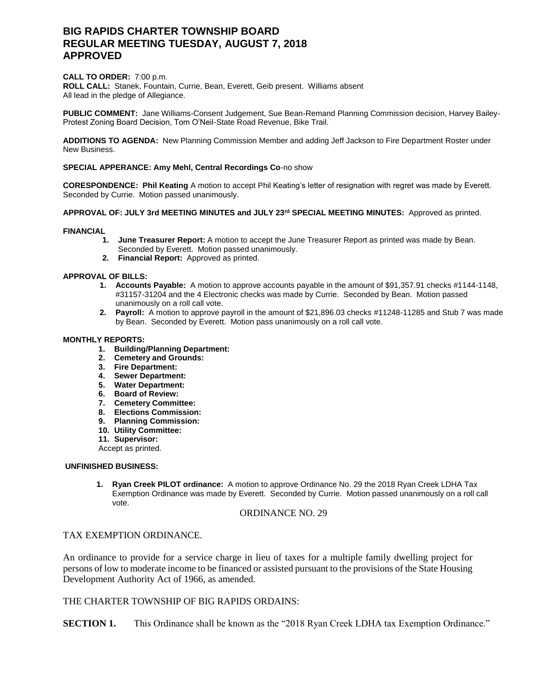# **BIG RAPIDS CHARTER TOWNSHIP BOARD REGULAR MEETING TUESDAY, AUGUST 7, 2018 APPROVED**

### **CALL TO ORDER:** 7:00 p.m.

**ROLL CALL:** Stanek, Fountain, Currie, Bean, Everett, Geib present. Williams absent All lead in the pledge of Allegiance.

**PUBLIC COMMENT:** Jane Williams-Consent Judgement, Sue Bean-Remand Planning Commission decision, Harvey Bailey-Protest Zoning Board Decision, Tom O'Neil-State Road Revenue, Bike Trail.

**ADDITIONS TO AGENDA:** New Planning Commission Member and adding Jeff Jackson to Fire Department Roster under New Business.

### **SPECIAL APPERANCE: Amy Mehl, Central Recordings Co**-no show

**CORESPONDENCE: Phil Keating** A motion to accept Phil Keating's letter of resignation with regret was made by Everett. Seconded by Currie. Motion passed unanimously.

## **APPROVAL OF: JULY 3rd MEETING MINUTES and JULY 23rd SPECIAL MEETING MINUTES:** Approved as printed.

#### **FINANCIAL**

- **1. June Treasurer Report:** A motion to accept the June Treasurer Report as printed was made by Bean. Seconded by Everett. Motion passed unanimously.
- **2. Financial Report:** Approved as printed.

#### **APPROVAL OF BILLS:**

- **1. Accounts Payable:** A motion to approve accounts payable in the amount of \$91,357.91 checks #1144-1148, #31157-31204 and the 4 Electronic checks was made by Currie. Seconded by Bean. Motion passed unanimously on a roll call vote.
- **2. Payroll:** A motion to approve payroll in the amount of \$21,896.03 checks #11248-11285 and Stub 7 was made by Bean. Seconded by Everett. Motion pass unanimously on a roll call vote.

#### **MONTHLY REPORTS:**

- **1. Building/Planning Department:**
- **2. Cemetery and Grounds:**
- **3. Fire Department:**
- **4. Sewer Department:**
- **5. Water Department:**
- **6. Board of Review:**
- **7. Cemetery Committee:**
- **8. Elections Commission:**
- **9. Planning Commission:**
- **10. Utility Committee:**
- **11. Supervisor:**

Accept as printed.

#### **UNFINISHED BUSINESS:**

**1. Ryan Creek PILOT ordinance:** A motion to approve Ordinance No. 29 the 2018 Ryan Creek LDHA Tax Exemption Ordinance was made by Everett. Seconded by Currie. Motion passed unanimously on a roll call vote.

#### ORDINANCE NO. 29

# TAX EXEMPTION ORDINANCE.

An ordinance to provide for a service charge in lieu of taxes for a multiple family dwelling project for persons of low to moderate income to be financed or assisted pursuant to the provisions of the State Housing Development Authority Act of 1966, as amended.

# THE CHARTER TOWNSHIP OF BIG RAPIDS ORDAINS:

**SECTION 1.** This Ordinance shall be known as the "2018 Ryan Creek LDHA tax Exemption Ordinance."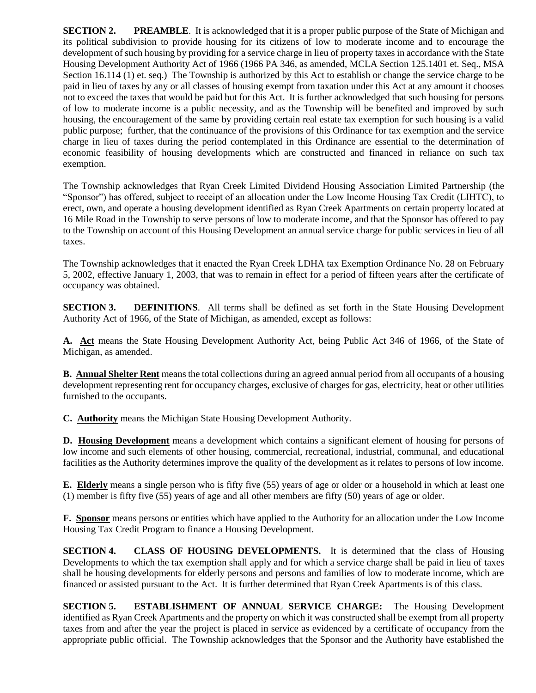**SECTION 2. PREAMBLE**. It is acknowledged that it is a proper public purpose of the State of Michigan and its political subdivision to provide housing for its citizens of low to moderate income and to encourage the development of such housing by providing for a service charge in lieu of property taxes in accordance with the State Housing Development Authority Act of 1966 (1966 PA 346, as amended, MCLA Section 125.1401 et. Seq., MSA Section 16.114 (1) et. seq.) The Township is authorized by this Act to establish or change the service charge to be paid in lieu of taxes by any or all classes of housing exempt from taxation under this Act at any amount it chooses not to exceed the taxes that would be paid but for this Act. It is further acknowledged that such housing for persons of low to moderate income is a public necessity, and as the Township will be benefited and improved by such housing, the encouragement of the same by providing certain real estate tax exemption for such housing is a valid public purpose; further, that the continuance of the provisions of this Ordinance for tax exemption and the service charge in lieu of taxes during the period contemplated in this Ordinance are essential to the determination of economic feasibility of housing developments which are constructed and financed in reliance on such tax exemption.

The Township acknowledges that Ryan Creek Limited Dividend Housing Association Limited Partnership (the "Sponsor") has offered, subject to receipt of an allocation under the Low Income Housing Tax Credit (LIHTC), to erect, own, and operate a housing development identified as Ryan Creek Apartments on certain property located at 16 Mile Road in the Township to serve persons of low to moderate income, and that the Sponsor has offered to pay to the Township on account of this Housing Development an annual service charge for public services in lieu of all taxes.

The Township acknowledges that it enacted the Ryan Creek LDHA tax Exemption Ordinance No. 28 on February 5, 2002, effective January 1, 2003, that was to remain in effect for a period of fifteen years after the certificate of occupancy was obtained.

**SECTION 3. DEFINITIONS**. All terms shall be defined as set forth in the State Housing Development Authority Act of 1966, of the State of Michigan, as amended, except as follows:

**A. Act** means the State Housing Development Authority Act, being Public Act 346 of 1966, of the State of Michigan, as amended.

**B. Annual Shelter Rent** means the total collections during an agreed annual period from all occupants of a housing development representing rent for occupancy charges, exclusive of charges for gas, electricity, heat or other utilities furnished to the occupants.

**C. Authority** means the Michigan State Housing Development Authority.

**D. Housing Development** means a development which contains a significant element of housing for persons of low income and such elements of other housing, commercial, recreational, industrial, communal, and educational facilities as the Authority determines improve the quality of the development as it relates to persons of low income.

**E. Elderly** means a single person who is fifty five (55) years of age or older or a household in which at least one (1) member is fifty five (55) years of age and all other members are fifty (50) years of age or older.

**F. Sponsor** means persons or entities which have applied to the Authority for an allocation under the Low Income Housing Tax Credit Program to finance a Housing Development.

**SECTION 4. CLASS OF HOUSING DEVELOPMENTS.** It is determined that the class of Housing Developments to which the tax exemption shall apply and for which a service charge shall be paid in lieu of taxes shall be housing developments for elderly persons and persons and families of low to moderate income, which are financed or assisted pursuant to the Act. It is further determined that Ryan Creek Apartments is of this class.

**SECTION 5. ESTABLISHMENT OF ANNUAL SERVICE CHARGE:** The Housing Development identified as Ryan Creek Apartments and the property on which it was constructed shall be exempt from all property taxes from and after the year the project is placed in service as evidenced by a certificate of occupancy from the appropriate public official. The Township acknowledges that the Sponsor and the Authority have established the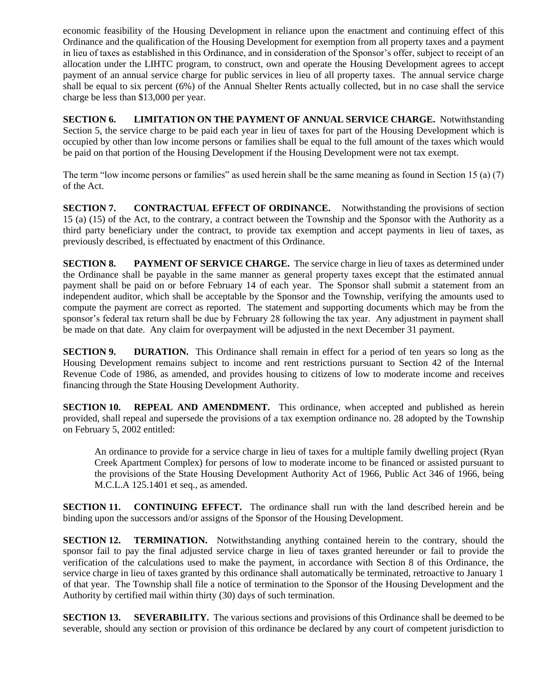economic feasibility of the Housing Development in reliance upon the enactment and continuing effect of this Ordinance and the qualification of the Housing Development for exemption from all property taxes and a payment in lieu of taxes as established in this Ordinance, and in consideration of the Sponsor's offer, subject to receipt of an allocation under the LIHTC program, to construct, own and operate the Housing Development agrees to accept payment of an annual service charge for public services in lieu of all property taxes. The annual service charge shall be equal to six percent (6%) of the Annual Shelter Rents actually collected, but in no case shall the service charge be less than \$13,000 per year.

**SECTION 6. LIMITATION ON THE PAYMENT OF ANNUAL SERVICE CHARGE.** Notwithstanding Section 5, the service charge to be paid each year in lieu of taxes for part of the Housing Development which is occupied by other than low income persons or families shall be equal to the full amount of the taxes which would be paid on that portion of the Housing Development if the Housing Development were not tax exempt.

The term "low income persons or families" as used herein shall be the same meaning as found in Section 15 (a) (7) of the Act.

**SECTION 7. CONTRACTUAL EFFECT OF ORDINANCE.** Notwithstanding the provisions of section 15 (a) (15) of the Act, to the contrary, a contract between the Township and the Sponsor with the Authority as a third party beneficiary under the contract, to provide tax exemption and accept payments in lieu of taxes, as previously described, is effectuated by enactment of this Ordinance.

**SECTION 8. PAYMENT OF SERVICE CHARGE.** The service charge in lieu of taxes as determined under the Ordinance shall be payable in the same manner as general property taxes except that the estimated annual payment shall be paid on or before February 14 of each year. The Sponsor shall submit a statement from an independent auditor, which shall be acceptable by the Sponsor and the Township, verifying the amounts used to compute the payment are correct as reported. The statement and supporting documents which may be from the sponsor's federal tax return shall be due by February 28 following the tax year. Any adjustment in payment shall be made on that date. Any claim for overpayment will be adjusted in the next December 31 payment.

**SECTION 9. DURATION.** This Ordinance shall remain in effect for a period of ten years so long as the Housing Development remains subject to income and rent restrictions pursuant to Section 42 of the Internal Revenue Code of 1986, as amended, and provides housing to citizens of low to moderate income and receives financing through the State Housing Development Authority.

**SECTION 10. REPEAL AND AMENDMENT.** This ordinance, when accepted and published as herein provided, shall repeal and supersede the provisions of a tax exemption ordinance no. 28 adopted by the Township on February 5, 2002 entitled:

An ordinance to provide for a service charge in lieu of taxes for a multiple family dwelling project (Ryan Creek Apartment Complex) for persons of low to moderate income to be financed or assisted pursuant to the provisions of the State Housing Development Authority Act of 1966, Public Act 346 of 1966, being M.C.L.A 125.1401 et seq., as amended.

**SECTION 11. CONTINUING EFFECT.** The ordinance shall run with the land described herein and be binding upon the successors and/or assigns of the Sponsor of the Housing Development.

**SECTION 12. TERMINATION.** Notwithstanding anything contained herein to the contrary, should the sponsor fail to pay the final adjusted service charge in lieu of taxes granted hereunder or fail to provide the verification of the calculations used to make the payment, in accordance with Section 8 of this Ordinance, the service charge in lieu of taxes granted by this ordinance shall automatically be terminated, retroactive to January 1 of that year. The Township shall file a notice of termination to the Sponsor of the Housing Development and the Authority by certified mail within thirty (30) days of such termination.

**SECTION 13.** SEVERABILITY. The various sections and provisions of this Ordinance shall be deemed to be severable, should any section or provision of this ordinance be declared by any court of competent jurisdiction to